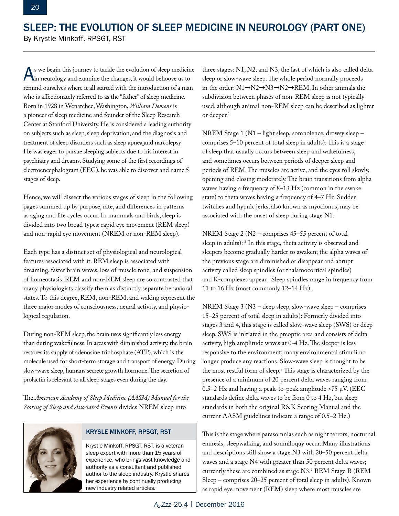## SLEEP: THE EVOLUTION OF SLEEP MEDICINE IN NEUROLOGY (PART ONE)

By Krystle Minkoff, RPSGT, RST

As we begin this journey to tackle the evolution of sleep medicine in neurology and examine the changes, it would behoove us to remind ourselves where it all started with the introduction of a man who is affectionately referred to as the "father" of sleep medicine. Born in 1928 in Wenatchee, Washington, *William Dement* is a pioneer of sleep medicine and founder of the Sleep Research Center at Stanford University. He is considered a leading authority on subjects such as sleep, sleep deprivation, and the diagnosis and treatment of [sleep disorders](http://www.aasmnet.org/practiceguidelines.aspx) such as sleep apnea and narcolepsy He was eager to pursue sleeping subjects due to his interest in psychiatry and dreams. Studying some of the first recordings of electroencephalogram (EEG), he was able to discover and name 5 stages of sleep.

Hence, we will dissect the various stages of sleep in the following pages summed up by purpose, rate, and differences in patterns as aging and life cycles occur. In mammals and birds, sleep is divided into two broad types: rapid eye movement (REM sleep) and non-rapid eye movement (NREM or non-REM sleep).

Each type has a distinct set of physiological and neurological features associated with it. REM sleep is associated with dreaming, faster brain waves, loss of muscle tone, and suspension of homeostasis. REM and non-REM sleep are so contrasted that many physiologists classify them as distinctly separate behavioral states. To this degree, REM, non-REM, and waking represent the three major modes of consciousness, neural activity, and physiological regulation.

During non-REM sleep, the brain uses significantly less energy than during wakefulness. In areas with diminished activity, the brain restores its supply of adenosine triphosphate (ATP), which is the molecule used for short-term storage and transport of energy. During slow-wave sleep, humans secrete growth hormone. The secretion of prolactin is relevant to all sleep stages even during the day.

The *American Academy of Sleep Medicine (AASM) Manual for the Scoring of Sleep and Associated Events* divides NREM sleep into



## KRYSLE MINKOFF, RPSGT, RST

Krystle Minkoff, RPSGT, RST, is a veteran sleep expert with more than 15 years of experience, who brings vast knowledge and authority as a consultant and published author to the sleep industry. Krystle shares her experience by continually producing new industry related articles.

three stages: N1, N2, and N3, the last of which is also called delta sleep or slow-wave sleep. The whole period normally proceeds in the order:  $N1\rightarrow N2\rightarrow N3\rightarrow REM$ . In other animals the subdivision between phases of non-REM sleep is not typically used, although animal non-REM sleep can be described as lighter or deeper.1

NREM Stage 1 (N1 – light sleep, somnolence, drowsy sleep – comprises 5–10 percent of total sleep in adults): This is a stage of sleep that usually occurs between sleep and wakefulness, and sometimes occurs between periods of deeper sleep and periods of REM. The muscles are active, and the eyes roll slowly, opening and closing moderately. The brain transitions from alpha waves having a frequency of 8–13 Hz (common in the awake state) to theta waves having a frequency of 4–7 Hz. Sudden twitches and hypnic jerks, also known as myoclonus, may be associated with the onset of sleep during stage N1.

NREM Stage 2 (N2 – comprises 45–55 percent of total sleep in adults): 2 In this stage, theta activity is observed and sleepers become gradually harder to awaken; the alpha waves of the previous stage are diminished or disappear and abrupt activity called sleep spindles (or thalamocortical spindles) and K-complexes appear. Sleep spindles range in frequency from 11 to 16 Hz (most commonly 12–14 Hz).

NREM Stage 3 (N3 – deep sleep, slow-wave sleep – comprises 15–25 percent of total sleep in adults): Formerly divided into stages 3 and 4, this stage is called slow-wave sleep (SWS) or deep sleep. SWS is initiated in the preoptic area and consists of delta activity, high amplitude waves at 0-4 Hz. The sleeper is less responsive to the environment; many environmental stimuli no longer produce any reactions. Slow-wave sleep is thought to be the most restful form of sleep. $3$  This stage is characterized by the presence of a minimum of 20 percent delta waves ranging from 0.5–2 Hz and having a peak-to-peak amplitude >75 μV. (EEG standards define delta waves to be from 0 to 4 Hz, but sleep standards in both the original R&K Scoring Manual and the current AASM guidelines indicate a range of 0.5–2 Hz.)

This is the stage where parasomnias such as night terrors, nocturnal enuresis, sleepwalking, and somniloquy occur. Many illustrations and descriptions still show a stage N3 with 20–50 percent delta waves and a stage N4 with greater than 50 percent delta waves; currently these are combined as stage N3.2 REM Stage R (REM Sleep – comprises 20–25 percent of total sleep in adults). Known as rapid eye movement (REM) sleep where most muscles are